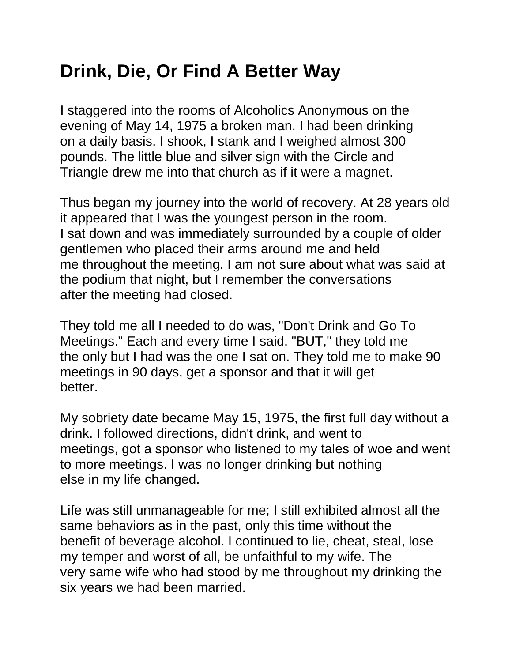## **Drink, Die, Or Find A Better Way**

I staggered into the rooms of Alcoholics Anonymous on the evening of May 14, 1975 a broken man. I had been drinking on a daily basis. I shook, I stank and I weighed almost 300 pounds. The little blue and silver sign with the Circle and Triangle drew me into that church as if it were a magnet.

Thus began my journey into the world of recovery. At 28 years old it appeared that I was the youngest person in the room. I sat down and was immediately surrounded by a couple of older gentlemen who placed their arms around me and held me throughout the meeting. I am not sure about what was said at the podium that night, but I remember the conversations after the meeting had closed.

They told me all I needed to do was, "Don't Drink and Go To Meetings." Each and every time I said, "BUT," they told me the only but I had was the one I sat on. They told me to make 90 meetings in 90 days, get a sponsor and that it will get better.

My sobriety date became May 15, 1975, the first full day without a drink. I followed directions, didn't drink, and went to meetings, got a sponsor who listened to my tales of woe and went to more meetings. I was no longer drinking but nothing else in my life changed.

Life was still unmanageable for me; I still exhibited almost all the same behaviors as in the past, only this time without the benefit of beverage alcohol. I continued to lie, cheat, steal, lose my temper and worst of all, be unfaithful to my wife. The very same wife who had stood by me throughout my drinking the six years we had been married.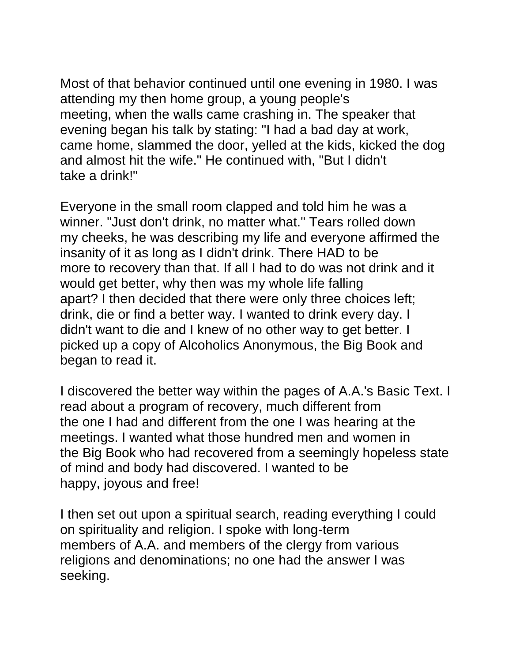Most of that behavior continued until one evening in 1980. I was attending my then home group, a young people's meeting, when the walls came crashing in. The speaker that evening began his talk by stating: "I had a bad day at work, came home, slammed the door, yelled at the kids, kicked the dog and almost hit the wife." He continued with, "But I didn't take a drink!"

Everyone in the small room clapped and told him he was a winner. "Just don't drink, no matter what." Tears rolled down my cheeks, he was describing my life and everyone affirmed the insanity of it as long as I didn't drink. There HAD to be more to recovery than that. If all I had to do was not drink and it would get better, why then was my whole life falling apart? I then decided that there were only three choices left; drink, die or find a better way. I wanted to drink every day. I didn't want to die and I knew of no other way to get better. I picked up a copy of Alcoholics Anonymous, the Big Book and began to read it.

I discovered the better way within the pages of A.A.'s Basic Text. I read about a program of recovery, much different from the one I had and different from the one I was hearing at the meetings. I wanted what those hundred men and women in the Big Book who had recovered from a seemingly hopeless state of mind and body had discovered. I wanted to be happy, joyous and free!

I then set out upon a spiritual search, reading everything I could on spirituality and religion. I spoke with long-term members of A.A. and members of the clergy from various religions and denominations; no one had the answer I was seeking.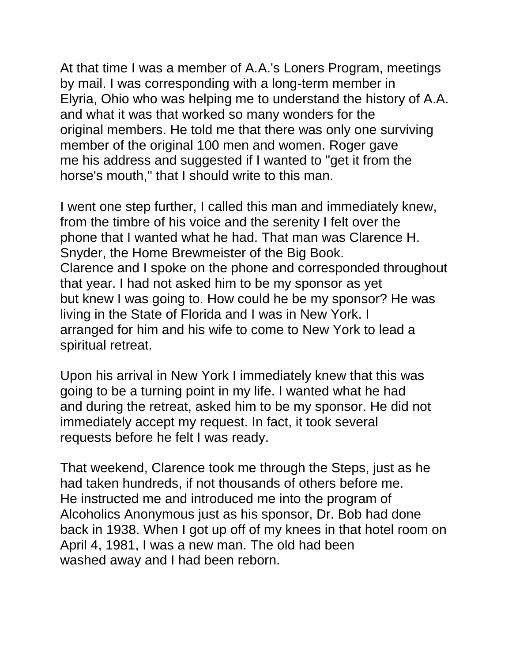At that time I was a member of A.A.'s Loners Program, meetings by mail. I was corresponding with a long-term member in Elyria, Ohio who was helping me to understand the history of A.A. and what it was that worked so many wonders for the original members. He told me that there was only one surviving member of the original 100 men and women. Roger gave me his address and suggested if I wanted to "get it from the horse's mouth," that I should write to this man.

I went one step further, I called this man and immediately knew, from the timbre of his voice and the serenity I felt over the phone that I wanted what he had. That man was Clarence H. Snyder, the Home Brewmeister of the Big Book. Clarence and I spoke on the phone and corresponded throughout that year. I had not asked him to be my sponsor as yet but knew I was going to. How could he be my sponsor? He was living in the State of Florida and I was in New York. I arranged for him and his wife to come to New York to lead a spiritual retreat.

Upon his arrival in New York I immediately knew that this was going to be a turning point in my life. I wanted what he had and during the retreat, asked him to be my sponsor. He did not immediately accept my request. In fact, it took several requests before he felt I was ready.

That weekend, Clarence took me through the Steps, just as he had taken hundreds, if not thousands of others before me. He instructed me and introduced me into the program of Alcoholics Anonymous just as his sponsor, Dr. Bob had done back in 1938. When I got up off of my knees in that hotel room on April 4, 1981, I was a new man. The old had been washed away and I had been reborn.